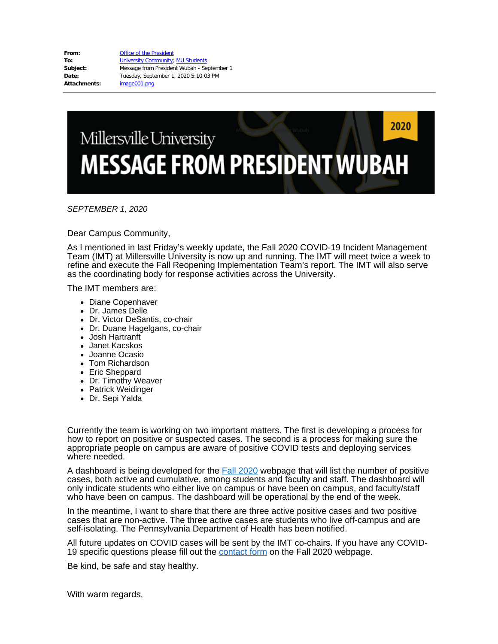**From:** [Office of the President](mailto:OfficeofthePresident@millersville.edu) **To:** [University Community](mailto:univcomm@millersville.edu); [MU Students](mailto:MU.Students@millersville.edu) **Subject:** Message from President Wubah - September 1 **Date:** Tuesday, September 1, 2020 5:10:03 PM **Attachments:** image001.png

## 2020 Millersville University **MESSAGE FROM PRESIDENT WUBAH**

*SEPTEMBER 1, 2020*

Dear Campus Community,

As I mentioned in last Friday's weekly update, the Fall 2020 COVID-19 Incident Management Team (IMT) at Millersville University is now up and running. The IMT will meet twice a week to refine and execute the Fall Reopening Implementation Team's report. The IMT will also serve as the coordinating body for response activities across the University.

The IMT members are:

- Diane Copenhaver
- Dr. James Delle
- Dr. Victor DeSantis, co-chair
- Dr. Duane Hagelgans, co-chair
- Josh Hartranft
- Janet Kacskos
- Joanne Ocasio
- Tom Richardson
- Eric Sheppard
- Dr. Timothy Weaver
- Patrick Weidinger
- Dr. Sepi Yalda

Currently the team is working on two important matters. The first is developing a process for how to report on positive or suspected cases. The second is a process for making sure the appropriate people on campus are aware of positive COVID tests and deploying services where needed.

A dashboard is being developed for the **Fall [2020](https://www.millersville.edu/fall2020/)** webpage that will list the number of positive cases, both active and cumulative, among students and faculty and staff. The dashboard will only indicate students who either live on campus or have been on campus, and faculty/staff who have been on campus. The dashboard will be operational by the end of the week.

In the meantime, I want to share that there are three active positive cases and two positive cases that are non-active. The three active cases are students who live off-campus and are self-isolating. The Pennsylvania Department of Health has been notified.

All future updates on COVID cases will be sent by the IMT co-chairs. If you have any COVID19 specific questions please fill out the [contact](https://www.millersville.edu/fall2020/contact.php) form on the Fall 2020 webpage.

Be kind, be safe and stay healthy.

With warm regards,